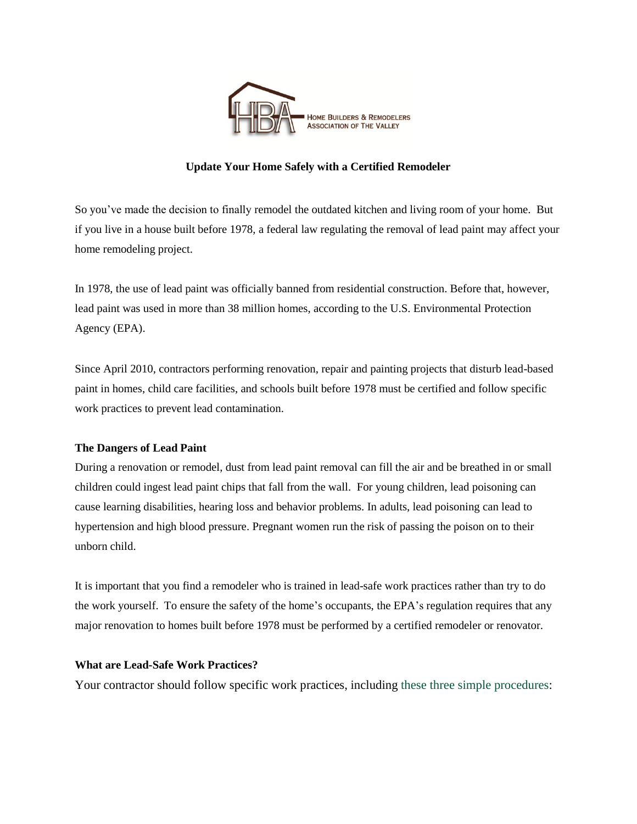

## **Update Your Home Safely with a Certified Remodeler**

So you've made the decision to finally remodel the outdated kitchen and living room of your home. But if you live in a house built before 1978, a federal law regulating the removal of lead paint may affect your home remodeling project.

In 1978, the use of lead paint was officially banned from residential construction. Before that, however, lead paint was used in more than 38 million homes, according to the U.S. Environmental Protection Agency (EPA).

Since April 2010, contractors performing renovation, repair and painting projects that disturb lead-based paint in homes, child care facilities, and schools built before 1978 must be certified and follow specific work practices to prevent lead contamination.

## **The Dangers of Lead Paint**

During a renovation or remodel, dust from lead paint removal can fill the air and be breathed in or small children could ingest lead paint chips that fall from the wall. For young children, lead poisoning can cause learning disabilities, hearing loss and behavior problems. In adults, lead poisoning can lead to hypertension and high blood pressure. Pregnant women run the risk of passing the poison on to their unborn child.

It is important that you find a remodeler who is trained in lead-safe work practices rather than try to do the work yourself. To ensure the safety of the home's occupants, the EPA's regulation requires that any major renovation to homes built before 1978 must be performed by a certified remodeler or renovator.

## **What are Lead-Safe Work Practices?**

Your contractor should follow specific work practices, including these three simple procedures: